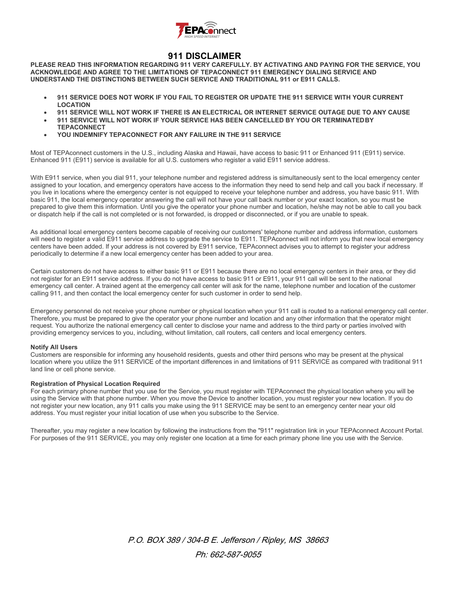

# **911 DISCLAIMER**

**PLEASE READ THIS INFORMATION REGARDING 911 VERY CAREFULLY. BY ACTIVATING AND PAYING FOR THE SERVICE, YOU ACKNOWLEDGE AND AGREE TO THE LIMITATIONS OF TEPACONNECT 911 EMERGENCY DIALING SERVICE AND UNDERSTAND THE DISTINCTIONS BETWEEN SUCH SERVICE AND TRADITIONAL 911 or E911 CALLS.**

- **911 SERVICE DOES NOT WORK IF YOU FAIL TO REGISTER OR UPDATE THE 911 SERVICE WITH YOUR CURRENT LOCATION**
- **911 SERVICE WILL NOT WORK IF THERE IS AN ELECTRICAL OR INTERNET SERVICE OUTAGE DUE TO ANY CAUSE**
- **911 SERVICE WILL NOT WORK IF YOUR SERVICE HAS BEEN CANCELLED BY YOU OR TERMINATEDBY TEPACONNECT**
- **YOU INDEMNIFY TEPACONNECT FOR ANY FAILURE IN THE 911 SERVICE**

Most of TEPAconnect customers in the U.S., including Alaska and Hawaii, have access to basic 911 or Enhanced 911 (E911) service. Enhanced 911 (E911) service is available for all U.S. customers who register a valid E911 service address.

With E911 service, when you dial 911, your telephone number and registered address is simultaneously sent to the local emergency center assigned to your location, and emergency operators have access to the information they need to send help and call you back if necessary. If you live in locations where the emergency center is not equipped to receive your telephone number and address, you have basic 911. With basic 911, the local emergency operator answering the call will not have your call back number or your exact location, so you must be prepared to give them this information. Until you give the operator your phone number and location, he/she may not be able to call you back or dispatch help if the call is not completed or is not forwarded, is dropped or disconnected, or if you are unable to speak.

As additional local emergency centers become capable of receiving our customers' telephone number and address information, customers will need to register a valid E911 service address to upgrade the service to E911. TEPAconnect will not inform you that new local emergency centers have been added. If your address is not covered by E911 service, TEPAconnect advises you to attempt to register your address periodically to determine if a new local emergency center has been added to your area.

Certain customers do not have access to either basic 911 or E911 because there are no local emergency centers in their area, or they did not register for an E911 service address. If you do not have access to basic 911 or E911, your 911 call will be sent to the national emergency call center. A trained agent at the emergency call center will ask for the name, telephone number and location of the customer calling 911, and then contact the local emergency center for such customer in order to send help.

Emergency personnel do not receive your phone number or physical location when your 911 call is routed to a national emergency call center. Therefore, you must be prepared to give the operator your phone number and location and any other information that the operator might request. You authorize the national emergency call center to disclose your name and address to the third party or parties involved with providing emergency services to you, including, without limitation, call routers, call centers and local emergency centers.

# **Notify All Users**

Customers are responsible for informing any household residents, guests and other third persons who may be present at the physical location where you utilize the 911 SERVICE of the important differences in and limitations of 911 SERVICE as compared with traditional 911 land line or cell phone service.

# **Registration of Physical Location Required**

For each primary phone number that you use for the Service, you must register with TEPAconnect the physical location where you will be using the Service with that phone number. When you move the Device to another location, you must register your new location. If you do not register your new location, any 911 calls you make using the 911 SERVICE may be sent to an emergency center near your old address. You must register your initial location of use when you subscribe to the Service.

Thereafter, you may register a new location by following the instructions from the "911" registration link in your TEPAconnect Account Portal. For purposes of the 911 SERVICE, you may only register one location at a time for each primary phone line you use with the Service.

> P.O. BOX 389 / 304-B E. Jefferson / Ripley, MS 38663 Ph: 662-587-9055